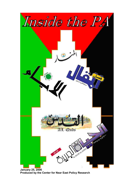

**Produced by the Center for Near East Policy Research**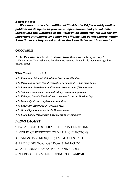### *Editor's note:*

*Welcome to the sixth edition of "Inside the PA," a weekly on-line publication designed to provide an open-source and yet valuable insight into the workings of the Palestinian Authority. We will review important statements by senior PA officials and developments within Palestinian society as taken from the Palestinian and Arab media*.

# **QUOTABLE**

**" The Palestine is a land of Islamic trust that cannot be given up."** -- Hamas leader Zahar reiterates that there has been no change in his movement's goal to destroy Israel.

# **This Week in the PA**

- *In Ramallah, PA holds Palestinian Legislative Elections*
- *In Ramallah, former U.S. President Carter meets PA Chairman Abbas*
- *In Ramallah, Palestinian intellectuals threaten exile if Hamas wins*
- *In Nablus, Fatah leader shot to death by Palestinian gunmen*
- *In Kabatya, Islamic Jihad cell seeks to enter Israel on Election Day*
- *● In Gaza City, PA forces placed on full alert*
- *In Gaza City, Egypt and PA officials meet*
- *● In Gaza City, gunmen try to kill Hamas leader*
- *● In Khan Yunis, Hamas uses Gaza mosques for campaign*

# **NEWS DIGEST**

- **1.** FATAH GETS U.S., ISRAELI HELP IN ELECTIONS
- **2.** VIOLENCE EXPECTED TO MAR PLC ELECTIONS
- **3.** HAMAS USES MOSQUES; FATAH USES PA POLICE
- **4.** PA DECIDES TO CLOSE DOWN HAMAS TV
- **5.** PA ENABLES HAMAS TO EXPAND MEDIA
- 6. NO RECONCILIATION DURING PLC CAMPAIGN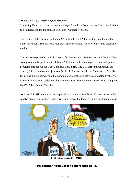## *Fatah Gets U.S., Israeli Help in Elections*

The ruling Fatah movement has obtained significant help from Israel and the United States to beat Hamas in the Palestinian Legislative Council elections.

The United States has pumped about \$2 million to the PA for ads that help bolster the Fatah movement. The ads were seen and heard throughout PA newspapers and electronic media.

The ads were sponsored by U.S. Agency for International Development and the PA. They were prominently published in all three Palestinian dailies and reported on development programs throughout the West Bank and Gaza Strip. One U.S. AID announcement on January 23 reported on a project to refurbish 110 apartments in the Rafah area of the Gaza Strip. The announcement said the administration of the project was conducted by the PA Finance Ministry and called for bids by contractors. The contractors were asked to apply to the PA Public Works Ministry.

Another U.S. AID announcement reported on a tender to refurbish 183 apartments in the Jabalya area of the northern Gaza Strip. Jabalya was the target of numerous Israeli attacks



Al Quds. Jan. 23, 2006

# Palestinian tells voter to disregard polls.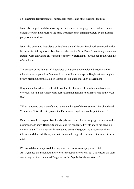on Palestinian terrorist targets, particularly missile and other weapons facilities.

Israel also helped Fatah by allowing the movement to campaign in Jerusalem. Hamas candidates were not accorded the same treatment and campaign posters by the Islamic party were torn down.

Israel also permitted interviews of Fatah candidate Marwan Barghouti, sentenced to five life terms for killing several Israelis and others in the West Bank. Three foreign television stations were allowed to enter prison to interview Barghouti, 46, who heads the Fatah list of candidates.

The content of the January 22 interviews of Barghouti were widely broadcast on PA television and reported in PA-owned or controlled newspapers. Barghouti, wearing his brown prison uniform, called on Hamas to join a national unity government.

Barghouti acknowledged that Fatah was hurt by the wave of Palestinian internecine violence. He said the violence has hurt Palestinian resistance of Israeli rule in the West Bank.

"What happened was shameful and harms the image of the resistance," Barghouti said. "The role of this rifle is to protect the Palestinian people and not be pointed at it."

Fatah has sought to exploit Barghouti's prisoner status. Fatah campaign posters as well as newspaper ads show Barghouti brandishing his handcuffed wrists above his head in a victory salute. The movement has sought to portray Barghouti as a successor of PA Chairman Mahmoud Abbas, who said he would resign after his current term expires in 2008.

PA-owned dailies employed the Barghouti interview to campaign for Fatah. Al Ayyam led the Barghouti interview as the lead story on Jan. 23. Underneath the story was a huge ad that trumpeted Barghouti as the "symbol of the resistance."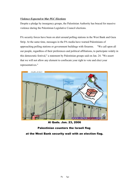## *Violence Expected to Mar PLC Elections*

Despite a pledge by insurgency groups, the Palestinian Authority has braced for massive violence during the Palestinian Legislative Council elections.

PA security forces have been on alert around polling stations in the West Bank and Gaza Strip. At the same time, messages in the PA media have warned Palestinians of approaching polling stations or government buildings with firearms. "We call upon all our people, regardless of their preferences and political affiliations, to participate widely in this democratic festival," a statement by Palestinian groups said on Jan. 24. "We assert that we will not allow any element to confiscate your right to vote and elect your representatives."



Al Quds. Jan. 23, 2006

# Palestinian counters the Israeli flag

at the West Bank security wall with an election flag.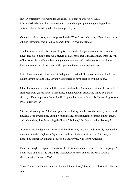But PA officials were bracing for violence. The Fatah-sponsored Al Aqsa Martyrs Brigades has already announced it would support police in guarding polling stations. Hamas has demanded the same privileges.

On the eve of elections, violence peaked in the West Bank. In Nablus, a Fatah leader, Abu Ahmed Hassouna, was killed by gunmen from his own movement.

The Palestinian Center for Human Rights reported that the gunmen came to Hassouna's house and asked him to remove a picture of PLC candidate Ghassan Shakaa from the wall of his house. Several hours later, the gunmen returned and tried to remove the picture. Hassouna came out of his house with a gun and the assailants opened fire.

Later, Hamas reported that unidentified gunmen tried to kill Hamas militia leader Abdul Halim Sayam in Gaza City. Sayam was reported to have escaped without injury.

Other Palestinians have been killed during Fatah rallies. On January 20, an 11-year-old from Gaza City, identified as Mohammed Shuhaiber, was struck and killed by a bullet fired by a Fatah supporter, later identified by the Palestinian Center for Human Rights as a PA security officer.

"It is worth noting that Palestinian gunmen, including members of the security services, do not hesitate in opening fire during electoral rallies and gatherings organized in the streets and public sites, thus threatening the lives of civilians," the Center said on January 21.

A day earlier, the deputy coordinator of the Third Way was shot and seriously wounded in an ambush in the Maghazi refugee camp in the central Gaza Strip. The Third Way is headed by former PA Finance Minister Salam Fayyad, who is pro-American.

Fatah has sought to exploit the victims of Palestinian violence in the election campaign. A Fatah radio station in the Gaza Strip interviewed the son of a PA officer killed in a shootout with Hamas in 2005.

"Don't forget that Hamas is colored by my father's blood," the son of Ali Mawaki, Hassan, said.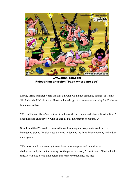

www.mahjoob.com Palestinian anarchy: "Papa where are you"

Deputy Prime Minister Nabil Shaath said Fatah would not dismantle Hamas or Islamic Jihad after the PLC elections. Shaath acknowledged the promise to do so by PA Chairman Mahmoud Abbas.

"We can't honor Abbas' commitment to dismantle the Hamas and Islamic Jihad militias," Shaath said in an interview with Spain's El Pais newspaper on January 24.

Shaath said the PA would require additional training and weapons to confront the insurgency groups. He also cited the need to develop the Palestinian economy and reduce employment.

"We must rebuild the security forces, have more weapons and munitions at its disposal and plan better training for the police and army," Shaath said. "That will take time. It will take a long time before these three prerequisites are met."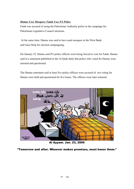## *Hamas Uses Mosques; Fatah Uses PA Police*

Fatah was accused of using the Palestinian Authority police in the campaign for Palestinian Legislative Council elections.

At the same time, Hamas was said to have used mosques in the West Bank and Gaza Strip for election campaigning.

On January 22, Hamas said PA police officers were being forced to vote for Fatah. Hamas said in a statement published in the Al Quds daily that police who voted for Hamas were arrested and questioned.

The Hamas statement said at least five police officers were accused of not voting for Hamas were held and questioned for five hours. The officers were later released.



Al Ayyam. Jan. 23, 2006

"Tomorrow and after. Whoever makes promises, must honor them."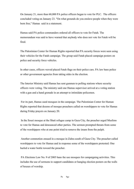On January 21, more than 60,000 PA police officers began to vote for PLC. The officers concluded voting on January 23. "On what grounds do you enslave people when they were born free," Hamas said in a statement.

Hamas said PA police commanders ordered all officers to vote for Fatah. The memorandum was said to have warned that anybody who does not vote for Fatah will be fired.

The Palestinian Center for Human Rights reported that PA security forces were seen using their vehicles for the Fatah campaign. The group said Fatah placed campaign posters on police and security force vehicles.

In other cases, officers waved placed Fatah flags on their police cars. PA law bans police or other government agencies from taking sides in the election.

The Interior Ministry said Hamas has sent gunmen to polling stations where security officers were voting. The ministry said one Hamas supervisor arrived at a voting station with a gun and a hand grenade in an attempt to intimidate policemen.

For its part, Hamas used mosques in the campaign. The Palestinian Center for Human Rights reported that dozens of mosque preachers called on worshippers to vote for Hamas during Friday prayers on January 20.

In the Sousi mosque at the Shati refugee camp in Gaza City, the preacher urged Muslims to vote for Hamas and denounced other parties. The sermon prompted threats from some of the worshippers who at one point tried to remove the imam from the pulpit.

Another commotion ensued in a mosque in Zahra south of Gaza City. The preacher called worshippers to vote for Hamas and in response some of the worshippers protested. One hurled a water bottle toward the preacher.

PA Elections Law No. 9 of 2005 bans the use mosques for campaigning activities. This includes the use of sermons to support candidates or hanging election posters on the walls of houses of worship.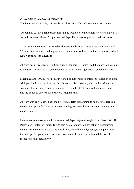### *PA Decides to Close Down Hamas TV*

The Palestinian Authority has decided to close down Hamas's new television station.

On January 22, PA public prosecutor said he would close the Hamas television station Al Aqsa. Prosecutor Ahmad Maghni said Al Aqsa TV did not acquire a broadcast license.

"The decision to close Al Aqsa television was made today," Maghni said on January 22. "A complaint was filed and inquiries were made, and we found out that the station had not legally applied [for a license]."

Al Aqsa began broadcasting in Gaza City on January 9. Hamas used the television station to broadcast ads during the campaign for the Palestinian Legislative Council elections.

Maghni said the PA Interior Ministry would be authorized to enforce the decision to close Al Aqsa. On the eve of elections, the Hamas television station, which acknowledged that it was operating without a license, continued to broadcast. "It is up to the interior minister and the police to enforce this decision," Maghni said.

Al Aqsa was said to have been the first private television station to apply for a license in the Gaza Strip. So far, most of its programming has been limited to Koran readings and children shows.

Hamas has used mosques to help transmit Al Aqsa's signal throughout the Gaza Strip. The Palestinian Center for Human Rights said Al Aqsa television has set up a transmission antenna from the third floor of the Bashir mosque in the Jabalya refugee camp north of Gaza Strip. The group said this was a violation of the law that prohibited the use of mosques for election activity.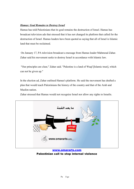### *Hamas: Goal Remains to Destroy Israel*

Hamas has told Palestinians that its goal remains the destruction of Israel. Hamas has broadcast television ads that stressed that it has not changed its platform that called for the destruction of Israel. Hamas leaders have been quoted as saying that all of Israel is Islamic land that must be reclaimed.

On January 17, PA television broadcast a message from Hamas leader Mahmoud Zahar. Zahar said his movement seeks to destroy Israel in accordance with Islamic law.

"Our principles are clear," Zahar said. "Palestine is a land of Waqf [Islamic trust], which can not be given up."

In the election ad, Zahar outlined Hamas's platform. He said the movement has drafted a plan that would teach Palestinians the history of the country and that of the Arab and Muslim nation.

Zahar stressed that Hamas would not recognize Israel nor allow any rights to Israelis.



www.omararts.com Palestinian call to stop internal violence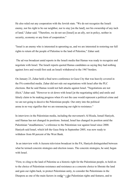He also ruled out any cooperation with the Jewish state. "We do not recognize the Israeli enemy, nor his right to be our neighbor, nor to stay [on the land], nor his ownership of any inch of land," Zahar said. "Therefore, we do not see [Israel] as an ally, not in policy, neither in security, economy or any form of cooperation."

"Israel is an enemy who is interested in uprooting us, and we are interested in restoring our full rights to return all the people of Palestine to the land of Palestine," Zahar said.

The ad was broadcast amid reports in the Israeli media that Hamas was ready to recognize and negotiate with Israel. The Israeli reports quoted Hamas candidates as saying they had nothing against Jews and would first seek an Israeli withdrawal to the 1967 borders.

On January 23, Zahar held a final news conference in Gaza City that was heavily covered in the PA-controlled media. Zahar did not rule out negotiations with Israel after the PLC elections. But he said Hamas would not halt attacks against Israel. "Negotiations are not illicit," Zahar said. "However to sit down with Israel [at the negotiating table] and smile and falsely claim to be making progress when it's not the case would represent a political crime and we are not going to deceive the Palestinian people. Our entry into the political arena in no way signifies that we are renouncing our right to resistance."

In interviews in the Palestinian media, including the movement's Al Risala, Ismail Haniyeh, said Hamas has not changed its positions. Instead, Israel has changed its position amid the Palestinian "steadfastness," a reference to the Palestinian war against Israel since 2000. Haniyeh said Israel, which left the Gaza Strip in September 2005, was now ready to withdraw from 80 percent of the West Bank.

In an interview with A-Jazeera television broadcast in the PA, Haniyeh distinguished between what he termed concrete strategies and election issues. The concrete strategies, he said, began with Israel.

"First, to cling to the land of Palestine as a historic right for the Palestinian people, to hold on to the choice of Palestinian resistance and resistance as a concrete choice to liberate the land and gain our rights back, to protect Palestinian unity, to consider the Palestinians in the Diaspora as one of the main factors in out $\lim_{n \to \infty} \frac{f}{f}$  Palestinian rights and features, and to